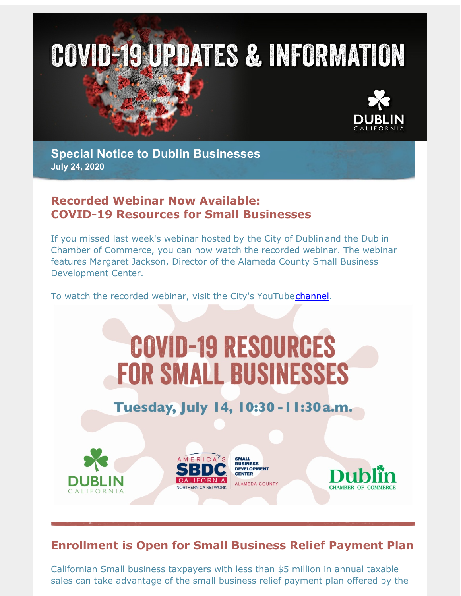

**Special Notice to Dublin Businesses July 24, 2020**

## **Recorded Webinar Now Available: COVID-19 Resources for Small Businesses**

If you missed last week's webinar hosted by the City of Dublin and the Dublin Chamber of Commerce, you can now watch the recorded webinar. The webinar features Margaret Jackson, Director of the Alameda County Small Business Development Center.

To watch the recorded webinar, visit the City's YouTube[channel](http://r20.rs6.net/tn.jsp?f=001jXOAFWxtcUOCRE8YsUXarCs4AoQOp0SWVIPuOPL9_i2iqUOsnEEXENUvzXs96FhOJbnQaiYl7g9udVPaNEReEJZvT6yYWYeIchOKds9hHkqWB8FSXOa00cuuITPsk6jxEA2aDgf2QCsEVF9TuzHCGqaB3uzQRYhyO_k2vD_IvD2PFS4Vgh5Ahw==&c=&ch=).

# **COVID-19 RESOURCES FOR SMALL BUSINESSES**

## Tuesday, July 14, 10:30 - 11:30 a.m.



## **Enrollment is Open for Small Business Relief Payment Plan**

Californian Small business taxpayers with less than \$5 million in annual taxable sales can take advantage of the small business relief payment plan offered by the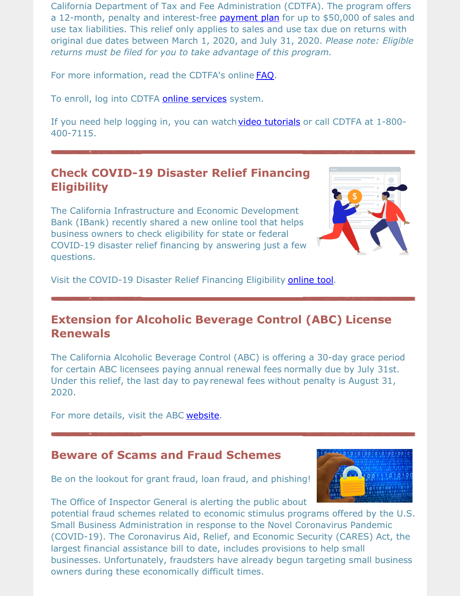California Department of Tax and Fee Administration (CDTFA). The program offers a 12-month, penalty and interest-free [payment](http://r20.rs6.net/tn.jsp?f=001jXOAFWxtcUOCRE8YsUXarCs4AoQOp0SWVIPuOPL9_i2iqUOsnEEXENUvzXs96FhOCUZVRmPluooOSJxe4ZGjADV8powag0UMQc0k-VfmSiBfFL2PbnXHhgzumF4FvWuO3UFSNwRgjBT_o-VKb7Mr2fZ11mu0eIaH7_oD4F81cPWgNkOcM1VlDcfuohwyamCKCfcrDJEzG3GwwbwcAW7iVPPHLwepGNhnr3mYxVxq4bMAEHxeEGu4LZuCMyDs-GYwuCB90_IgGer0Kp12i8FmmFJr3yzXzcza5wT68bv-RzSfr4OshkTKPgOrE9OghMFydAAxDC9nAa90TKy1_6jDu6icb4h1unDq2MPeItqAdfD95LwgjI1lW0NQhiBOwzj--fjEdeoHALOIuXhJ7pFTh5ny3H9aX_gpttzdpYUbTsr6OFhb4Df07X5_kE9SeTNrkDtM1XmRqfFge8X8_X_oECybKD2-UM5rLiOmsjQSdn0nFP5ZDdWowVOXW7t3TVpAggDgilBx8QkAIP-vNdbN2xJrKIpLtiY9-5FdpCZBC4SnUhDnUr2LzQWfIFnAn4dAosn2t4GNpUdTrB1ohFachIeU07tJTSceTgven1EEFW0M6E6FB8cz08sGFRpaxcVPjc692Sw4WwhQgdDGPj84VjA8e42SbOBXLKNNXfN4Pka53haNRXVd6pu9QLGa6PbPpQ6Mt4KNgcfIvPuzpF619ZOHPjsMOvzEuqalYtETO9ngVjMlgbDMbXm9KdLiJLxC2x6LVilrXxXmjH91M-zK1wSdMOHx2lefR5dOgtK2mSQLlWzWCxTTKN6lzQ91jeqqoPkZ3eOKvwlW3aSqOgTthCgIb3CELDvSP5cGFfvmyoKKNS0gFhysgVYzS-a-QFypYkMbhFxwDrYENG7vm_8gSXBFGAyvbXH48cqBcckqEP-DwLlSX_TD8oerWIFTBty84TFL0ERbI50=&c=&ch=) plan for up to \$50,000 of sales and use tax liabilities. This relief only applies to sales and use tax due on returns with original due dates between March 1, 2020, and July 31, 2020. *Please note: Eligible returns must be filed for you to take advantage of this program.*

For more information, read the CDTFA's online [FAQ](http://r20.rs6.net/tn.jsp?f=001jXOAFWxtcUOCRE8YsUXarCs4AoQOp0SWVIPuOPL9_i2iqUOsnEEXENUvzXs96FhOFWu70suHaAOstKib--vYv50rVD5lw8wYKI4CzCtCU7IVCveptWs2wsUr8G7t0Kix9InDi0gzOpXN0UeAxXLVgRzpJNf5uZQ0OZc6OH_R1hO36yMLrCw7crfP_Mf0hEty701Pbqq9uO7FQdxy0SZKGg==&c=&ch=).

To enroll, log into CDTFA **online [services](http://r20.rs6.net/tn.jsp?f=001jXOAFWxtcUOCRE8YsUXarCs4AoQOp0SWVIPuOPL9_i2iqUOsnEEXENUvzXs96FhOcS07mhyhXNqc4U41JsWcU6XDBp3GvIWowH4NuegEgXlZ3JPzTBbt148sT9Hlp7smlRPSmxrQNMLpVNOkTwWafSxY2u2j3RUCKAWKgzdl2olQi07RSCKI1UZDUh2gF5Nmn4VKHS2RSuLlMX-5haGCXMlafokN1tO25-6Mua3_p3uuWO536PkklPHlN4XBGbr8DGva07rUCFTGH45yIWtx8GsbVA8vTvlgk5nD2fuNcBSWsouhgUlI-JZfV_FHe5iUyd0kLoknBsmb25d6zOIRP24arQFYTcT1XrfecDy1-BjRkNfZiqeWaFk6lFCS0Q2pDJgodGWyiz69pZsMGcbHPYk6JvANhaAoniptC_QcpsPQNEHB_jHbyGbfS7zNsn1lvXlegz95WngIDyqAQXEPlrOr__aFJHngzTukDDU93yoMOTz_8NXskDCQV0S1G-1VJdK-DzfEsbAP5Ml70VQpNx8nGuGPCjRT_XjHrbz1R6GCNBE0iNLKcXRFO4uWrj_Saiw27cDa4bl1oCTICuLS-HN9FoX98QhqcxAmk6S8f8AoYJTIY7A0FnahOavh434sgChU-8TBgZNUMPrFp4WqKH5v5C-_AYG5IGTGWT6HPFZpikJ5TBp4qjvCpTxs2tYZwa9IWpUMo6FBki5f2dDKHQ2U3-yvNJ9FE7vsN0YWFcA7vdkr7LXOnerjeMgytFd66UEpNC9z8YM1teL_SfMq_ulZkjjjlOtJW39aRwac4ldyEnDFLi_1g7Bb0mnxysNT_MIELhmJn2GX23f3ct6Lny8lMwkGgomoU81vrQt87OymE_q4x9refDWhUqNKSXmRmWDZEi3DXTx7_ue5vJCXOdADZW-_rhbomaKw5jtZ2IWR2K0bYOpUzp_9lMcErDms&c=&ch=)** system.

If you need help logging in, you can watch video [tutorials](http://r20.rs6.net/tn.jsp?f=001jXOAFWxtcUOCRE8YsUXarCs4AoQOp0SWVIPuOPL9_i2iqUOsnEEXENUvzXs96FhOJxzjRtoSNsXfKDOgw8l25DVf_2sPP-fN4hrMhPtVS77jzy1dVjKk177g80trrJx6rDFig7IT8de2Wu-FNwDY_H0zIcBlijh2GAOXyuLLacKHU8zl8H9cOAwTlQoSMebx2mKzJXTsSEl-W41v9IdaEJhdyewz2wRxU3Jkqk0CqgilypHIP6UVeLQ0pGLvP__EW9QG7sU0x8UEOzrMhozi-wieDBbG0_fLqzwAGeWZn-b1MzexdTzCaiBDEF7VZ8EqqS2X1-Z1TeV92_vT_8iu0X1S3jF2cYp6lWIt-NepVHASPjHW2Ayr1iDvqE-JGvZEWcTIVfRDx_9_4EpNV8KzGKvtacSfJzbFQhzVkI76ZqkasI4ccCKHpe12VUIr3tAr9mgw8wqO-zfnyx72fyxrFLN8WLUvm8YpDQoYRHMVO3-GoG4TB0WxetjXGPNeSt2JX0Ww7VJvT7VhjMHCqDhdinTNuf9bKa9-rmhdnpbo28GzT5eIBKKzaDWsL-mPg68CsJwX-kW1hxRkbjqp64gESLkuDsMeJtHFzdwpCDkbPiudYlIncVeCOD610T169a_lj3S7YKAaCXUvVB5dbZMHM5gdizx2As8jmGPeM8TKzJqVEycvPa9W-HDm2X-hU15GixQOkzvx-mGzE3COjZ0BwO00kHwRbQH9AGMv1diVjFwshsCoshhYHFlFPZfUoDhOmP8fHXVx84a9ZE6PqE4rh5C9Li7i61EcNtqA2c5ZHV5ZyPG14ms1PMIg06RJ6yw_qZu4cmbcGM7M7pf5M9owtmK0iO5Lf2P4Xwsc0TF1vYne-wfYlel-i0pJVMncfTSCA97PZUfdCkLo2Zw_tfOaQTYAoVH_y4ZSTI0TlK1f-JA=&c=&ch=) or call CDTFA at 1-800-400-7115.

## **Check COVID-19 Disaster Relief Financing Eligibility**

The California Infrastructure and Economic Development Bank (IBank) recently shared a new online tool that helps business owners to check eligibility for state or federal COVID-19 disaster relief financing by answering just a few questions.



Visit the COVID-19 Disaster Relief Financing Eligibility [online](http://r20.rs6.net/tn.jsp?f=001jXOAFWxtcUOCRE8YsUXarCs4AoQOp0SWVIPuOPL9_i2iqUOsnEEXENUvzXs96FhObcdHaZfCw0tsr5L9ePwbvzwg9Lv8ZiKVng3i5Ebh8nudDeOkbSOx-Bkk8_BfDmiKALj-98UlaL5_JlbOAS37Z9HcUvGFgkVMC8TeAv5meHXKxWNedLOv3b3eSseiVmTQ&c=&ch=) tool.

## **Extension for Alcoholic Beverage Control (ABC) License Renewals**

The California Alcoholic Beverage Control (ABC) is offering a 30-day grace period for certain ABC licensees paying annual renewal fees normally due by July 31st. Under this relief, the last day to payrenewal fees without penalty is August 31, 2020.

For more details, visit the ABC [website](http://r20.rs6.net/tn.jsp?f=001jXOAFWxtcUOCRE8YsUXarCs4AoQOp0SWVIPuOPL9_i2iqUOsnEEXENUvzXs96FhO_YBq1AKORRjsFFe7bz1_t1t8IxnQgwlQ0r4Ai59orZfc8jSKPXQspGOQ0iSDvcsF3me5DG-WqfNtNjZp2Sxh8nRV54BHZ9m2EJ9T0zay-MeX5lbyRjR6VOMusGvQdtyfdwqTQkBP1FEt02lzgSFH63Jtfs7dDdxeMxhUDuz_YNqIObB3c6HIcw==&c=&ch=).

#### **Beware of Scams and Fraud Schemes**

Be on the lookout for grant fraud, loan fraud, and phishing!



The Office of Inspector General is alerting the public about

potential fraud schemes related to economic stimulus programs offered by the U.S. Small Business Administration in response to the Novel Coronavirus Pandemic (COVID-19). The Coronavirus Aid, Relief, and Economic Security (CARES) Act, the largest financial assistance bill to date, includes provisions to help small businesses. Unfortunately, fraudsters have already begun targeting small business owners during these economically difficult times.